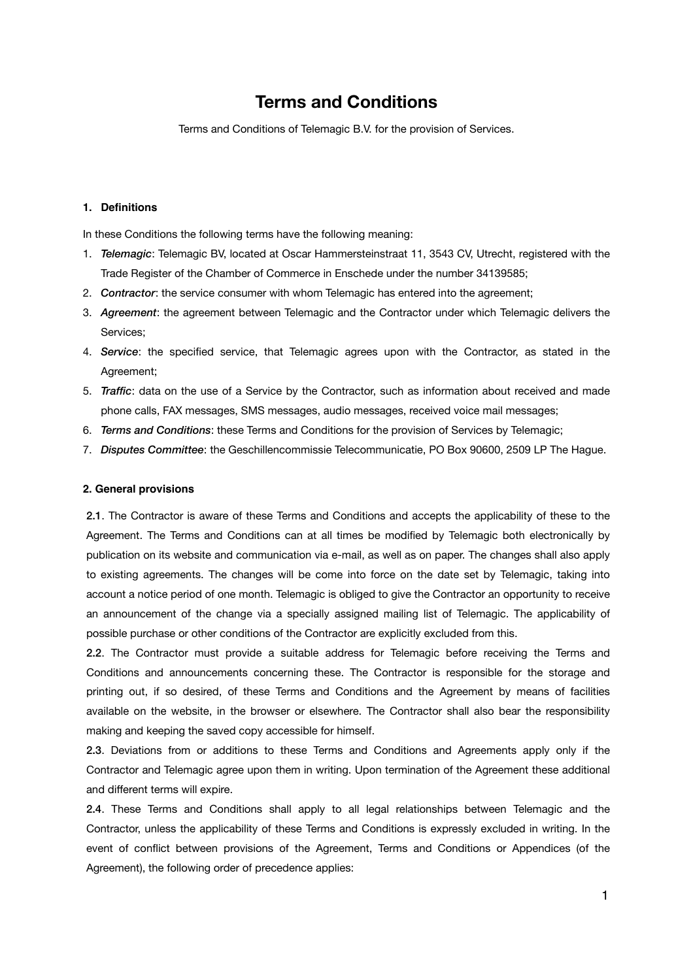# **Terms and Conditions**

Terms and Conditions of Telemagic B.V. for the provision of Services.

# **1. Definitions**

In these Conditions the following terms have the following meaning:

- 1. *Telemagic*: Telemagic BV, located at Oscar Hammersteinstraat 11, 3543 CV, Utrecht, registered with the Trade Register of the Chamber of Commerce in Enschede under the number 34139585;
- 2. *Contractor*: the service consumer with whom Telemagic has entered into the agreement;
- 3. *Agreement*: the agreement between Telemagic and the Contractor under which Telemagic delivers the Services;
- 4. *Service*: the specified service, that Telemagic agrees upon with the Contractor, as stated in the Agreement;
- 5. *Traffic*: data on the use of a Service by the Contractor, such as information about received and made phone calls, FAX messages, SMS messages, audio messages, received voice mail messages;
- 6. *Terms and Conditions*: these Terms and Conditions for the provision of Services by Telemagic;
- 7. *Disputes Committee*: the Geschillencommissie Telecommunicatie, PO Box 90600, 2509 LP The Hague.

## **2. General provisions**

2.1. The Contractor is aware of these Terms and Conditions and accepts the applicability of these to the Agreement. The Terms and Conditions can at all times be modified by Telemagic both electronically by publication on its website and communication via e-mail, as well as on paper. The changes shall also apply to existing agreements. The changes will be come into force on the date set by Telemagic, taking into account a notice period of one month. Telemagic is obliged to give the Contractor an opportunity to receive an announcement of the change via a specially assigned mailing list of Telemagic. The applicability of possible purchase or other conditions of the Contractor are explicitly excluded from this.

2.2. The Contractor must provide a suitable address for Telemagic before receiving the Terms and Conditions and announcements concerning these. The Contractor is responsible for the storage and printing out, if so desired, of these Terms and Conditions and the Agreement by means of facilities available on the website, in the browser or elsewhere. The Contractor shall also bear the responsibility making and keeping the saved copy accessible for himself.

2.3. Deviations from or additions to these Terms and Conditions and Agreements apply only if the Contractor and Telemagic agree upon them in writing. Upon termination of the Agreement these additional and different terms will expire.

2.4. These Terms and Conditions shall apply to all legal relationships between Telemagic and the Contractor, unless the applicability of these Terms and Conditions is expressly excluded in writing. In the event of conflict between provisions of the Agreement, Terms and Conditions or Appendices (of the Agreement), the following order of precedence applies: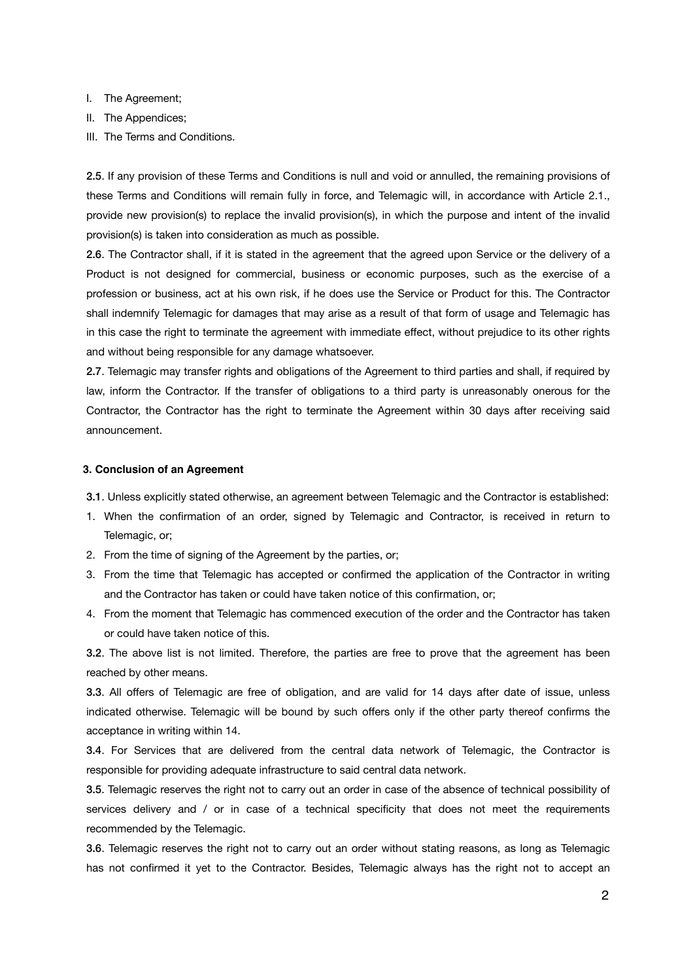- I. The Agreement;
- II. The Appendices;
- III. The Terms and Conditions.

2.5. If any provision of these Terms and Conditions is null and void or annulled, the remaining provisions of these Terms and Conditions will remain fully in force, and Telemagic will, in accordance with Article 2.1., provide new provision(s) to replace the invalid provision(s), in which the purpose and intent of the invalid provision(s) is taken into consideration as much as possible.

2.6. The Contractor shall, if it is stated in the agreement that the agreed upon Service or the delivery of a Product is not designed for commercial, business or economic purposes, such as the exercise of a profession or business, act at his own risk, if he does use the Service or Product for this. The Contractor shall indemnify Telemagic for damages that may arise as a result of that form of usage and Telemagic has in this case the right to terminate the agreement with immediate effect, without prejudice to its other rights and without being responsible for any damage whatsoever.

2.7. Telemagic may transfer rights and obligations of the Agreement to third parties and shall, if required by law, inform the Contractor. If the transfer of obligations to a third party is unreasonably onerous for the Contractor, the Contractor has the right to terminate the Agreement within 30 days after receiving said announcement.

## **3. Conclusion of an Agreement**

3.1. Unless explicitly stated otherwise, an agreement between Telemagic and the Contractor is established:

- 1. When the confirmation of an order, signed by Telemagic and Contractor, is received in return to Telemagic, or;
- 2. From the time of signing of the Agreement by the parties, or;
- 3. From the time that Telemagic has accepted or confirmed the application of the Contractor in writing and the Contractor has taken or could have taken notice of this confirmation, or;
- 4. From the moment that Telemagic has commenced execution of the order and the Contractor has taken or could have taken notice of this.

3.2. The above list is not limited. Therefore, the parties are free to prove that the agreement has been reached by other means.

3.3. All offers of Telemagic are free of obligation, and are valid for 14 days after date of issue, unless indicated otherwise. Telemagic will be bound by such offers only if the other party thereof confirms the acceptance in writing within 14.

3.4. For Services that are delivered from the central data network of Telemagic, the Contractor is responsible for providing adequate infrastructure to said central data network.

3.5. Telemagic reserves the right not to carry out an order in case of the absence of technical possibility of services delivery and / or in case of a technical specificity that does not meet the requirements recommended by the Telemagic.

3.6. Telemagic reserves the right not to carry out an order without stating reasons, as long as Telemagic has not confirmed it yet to the Contractor. Besides, Telemagic always has the right not to accept an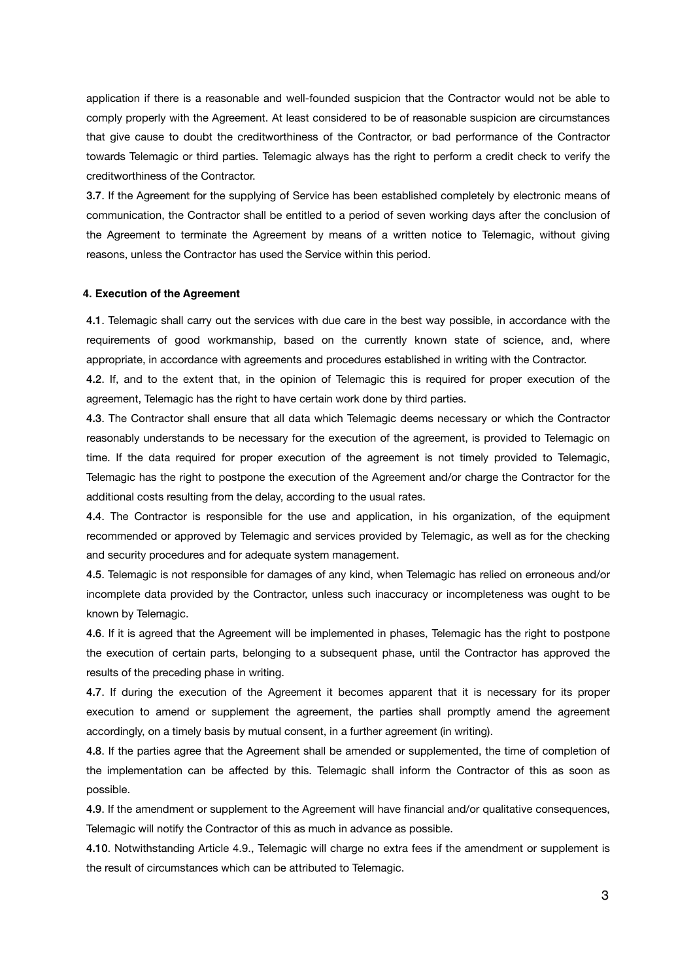application if there is a reasonable and well-founded suspicion that the Contractor would not be able to comply properly with the Agreement. At least considered to be of reasonable suspicion are circumstances that give cause to doubt the creditworthiness of the Contractor, or bad performance of the Contractor towards Telemagic or third parties. Telemagic always has the right to perform a credit check to verify the creditworthiness of the Contractor.

3.7. If the Agreement for the supplying of Service has been established completely by electronic means of communication, the Contractor shall be entitled to a period of seven working days after the conclusion of the Agreement to terminate the Agreement by means of a written notice to Telemagic, without giving reasons, unless the Contractor has used the Service within this period.

#### **4. Execution of the Agreement**

4.1. Telemagic shall carry out the services with due care in the best way possible, in accordance with the requirements of good workmanship, based on the currently known state of science, and, where appropriate, in accordance with agreements and procedures established in writing with the Contractor.

4.2. If, and to the extent that, in the opinion of Telemagic this is required for proper execution of the agreement, Telemagic has the right to have certain work done by third parties.

4.3. The Contractor shall ensure that all data which Telemagic deems necessary or which the Contractor reasonably understands to be necessary for the execution of the agreement, is provided to Telemagic on time. If the data required for proper execution of the agreement is not timely provided to Telemagic, Telemagic has the right to postpone the execution of the Agreement and/or charge the Contractor for the additional costs resulting from the delay, according to the usual rates.

4.4. The Contractor is responsible for the use and application, in his organization, of the equipment recommended or approved by Telemagic and services provided by Telemagic, as well as for the checking and security procedures and for adequate system management.

4.5. Telemagic is not responsible for damages of any kind, when Telemagic has relied on erroneous and/or incomplete data provided by the Contractor, unless such inaccuracy or incompleteness was ought to be known by Telemagic.

4.6. If it is agreed that the Agreement will be implemented in phases, Telemagic has the right to postpone the execution of certain parts, belonging to a subsequent phase, until the Contractor has approved the results of the preceding phase in writing.

4.7. If during the execution of the Agreement it becomes apparent that it is necessary for its proper execution to amend or supplement the agreement, the parties shall promptly amend the agreement accordingly, on a timely basis by mutual consent, in a further agreement (in writing).

4.8. If the parties agree that the Agreement shall be amended or supplemented, the time of completion of the implementation can be affected by this. Telemagic shall inform the Contractor of this as soon as possible.

4.9. If the amendment or supplement to the Agreement will have financial and/or qualitative consequences, Telemagic will notify the Contractor of this as much in advance as possible.

4.10. Notwithstanding Article 4.9., Telemagic will charge no extra fees if the amendment or supplement is the result of circumstances which can be attributed to Telemagic.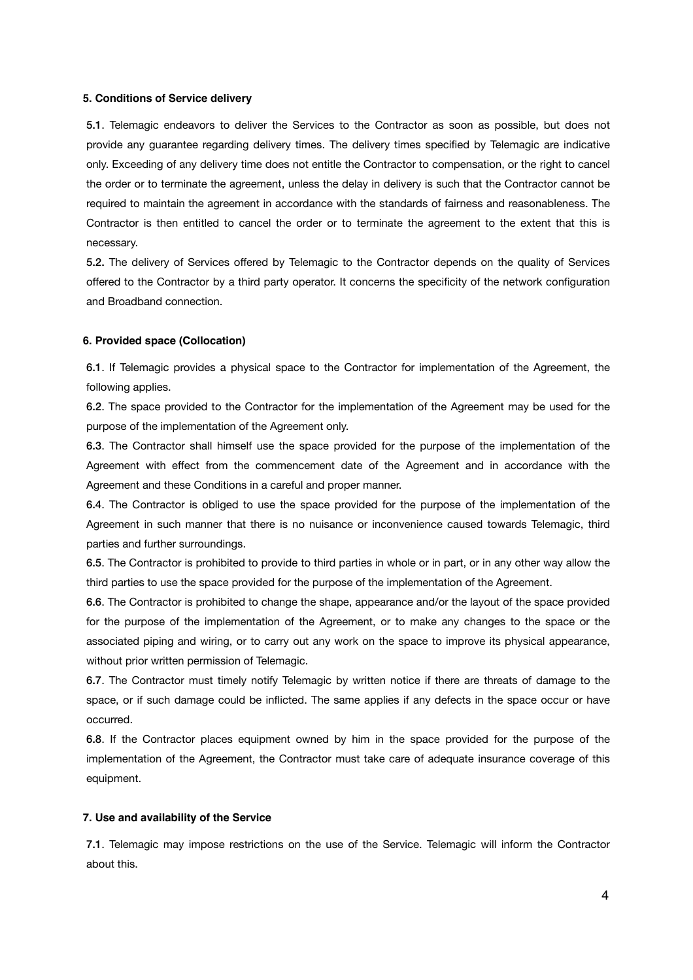## **5. Conditions of Service delivery**

5.1. Telemagic endeavors to deliver the Services to the Contractor as soon as possible, but does not provide any guarantee regarding delivery times. The delivery times specified by Telemagic are indicative only. Exceeding of any delivery time does not entitle the Contractor to compensation, or the right to cancel the order or to terminate the agreement, unless the delay in delivery is such that the Contractor cannot be required to maintain the agreement in accordance with the standards of fairness and reasonableness. The Contractor is then entitled to cancel the order or to terminate the agreement to the extent that this is necessary.

5.2. The delivery of Services offered by Telemagic to the Contractor depends on the quality of Services offered to the Contractor by a third party operator. It concerns the specificity of the network configuration and Broadband connection.

## **6. Provided space (Collocation)**

6.1. If Telemagic provides a physical space to the Contractor for implementation of the Agreement, the following applies.

6.2. The space provided to the Contractor for the implementation of the Agreement may be used for the purpose of the implementation of the Agreement only.

6.3. The Contractor shall himself use the space provided for the purpose of the implementation of the Agreement with effect from the commencement date of the Agreement and in accordance with the Agreement and these Conditions in a careful and proper manner.

6.4. The Contractor is obliged to use the space provided for the purpose of the implementation of the Agreement in such manner that there is no nuisance or inconvenience caused towards Telemagic, third parties and further surroundings.

6.5. The Contractor is prohibited to provide to third parties in whole or in part, or in any other way allow the third parties to use the space provided for the purpose of the implementation of the Agreement.

6.6. The Contractor is prohibited to change the shape, appearance and/or the layout of the space provided for the purpose of the implementation of the Agreement, or to make any changes to the space or the associated piping and wiring, or to carry out any work on the space to improve its physical appearance, without prior written permission of Telemagic.

6.7. The Contractor must timely notify Telemagic by written notice if there are threats of damage to the space, or if such damage could be inflicted. The same applies if any defects in the space occur or have occurred.

6.8. If the Contractor places equipment owned by him in the space provided for the purpose of the implementation of the Agreement, the Contractor must take care of adequate insurance coverage of this equipment.

## **7. Use and availability of the Service**

7.1. Telemagic may impose restrictions on the use of the Service. Telemagic will inform the Contractor about this.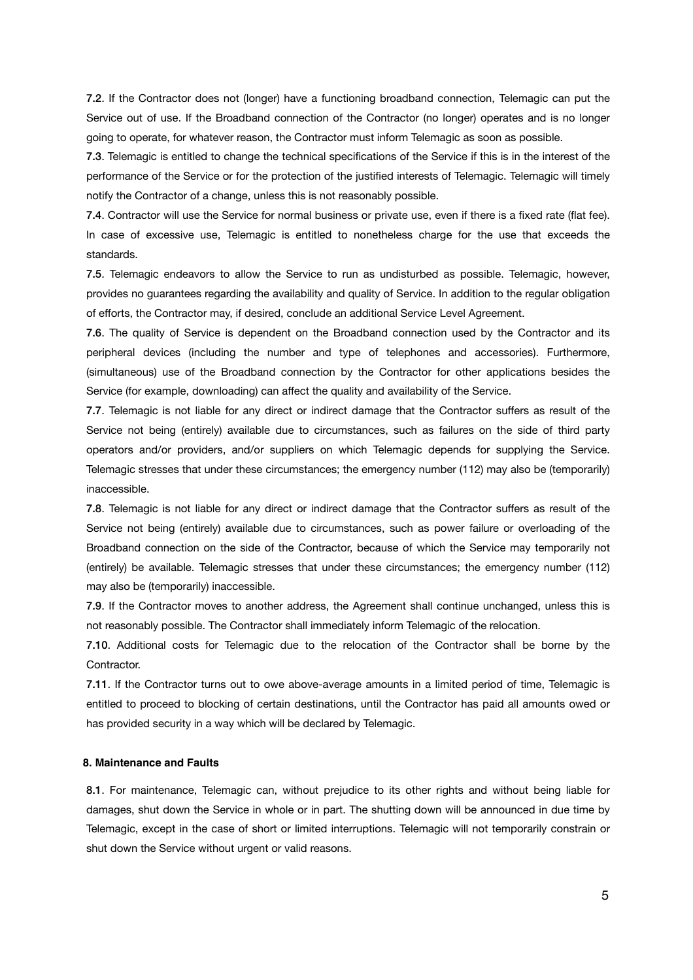7.2. If the Contractor does not (longer) have a functioning broadband connection, Telemagic can put the Service out of use. If the Broadband connection of the Contractor (no longer) operates and is no longer going to operate, for whatever reason, the Contractor must inform Telemagic as soon as possible.

7.3. Telemagic is entitled to change the technical specifications of the Service if this is in the interest of the performance of the Service or for the protection of the justified interests of Telemagic. Telemagic will timely notify the Contractor of a change, unless this is not reasonably possible.

7.4. Contractor will use the Service for normal business or private use, even if there is a fixed rate (flat fee). In case of excessive use, Telemagic is entitled to nonetheless charge for the use that exceeds the standards.

7.5. Telemagic endeavors to allow the Service to run as undisturbed as possible. Telemagic, however, provides no guarantees regarding the availability and quality of Service. In addition to the regular obligation of efforts, the Contractor may, if desired, conclude an additional Service Level Agreement.

7.6. The quality of Service is dependent on the Broadband connection used by the Contractor and its peripheral devices (including the number and type of telephones and accessories). Furthermore, (simultaneous) use of the Broadband connection by the Contractor for other applications besides the Service (for example, downloading) can affect the quality and availability of the Service.

7.7. Telemagic is not liable for any direct or indirect damage that the Contractor suffers as result of the Service not being (entirely) available due to circumstances, such as failures on the side of third party operators and/or providers, and/or suppliers on which Telemagic depends for supplying the Service. Telemagic stresses that under these circumstances; the emergency number (112) may also be (temporarily) inaccessible.

7.8. Telemagic is not liable for any direct or indirect damage that the Contractor suffers as result of the Service not being (entirely) available due to circumstances, such as power failure or overloading of the Broadband connection on the side of the Contractor, because of which the Service may temporarily not (entirely) be available. Telemagic stresses that under these circumstances; the emergency number (112) may also be (temporarily) inaccessible.

7.9. If the Contractor moves to another address, the Agreement shall continue unchanged, unless this is not reasonably possible. The Contractor shall immediately inform Telemagic of the relocation.

7.10. Additional costs for Telemagic due to the relocation of the Contractor shall be borne by the Contractor.

7.11. If the Contractor turns out to owe above-average amounts in a limited period of time, Telemagic is entitled to proceed to blocking of certain destinations, until the Contractor has paid all amounts owed or has provided security in a way which will be declared by Telemagic.

## **8. Maintenance and Faults**

8.1. For maintenance, Telemagic can, without prejudice to its other rights and without being liable for damages, shut down the Service in whole or in part. The shutting down will be announced in due time by Telemagic, except in the case of short or limited interruptions. Telemagic will not temporarily constrain or shut down the Service without urgent or valid reasons.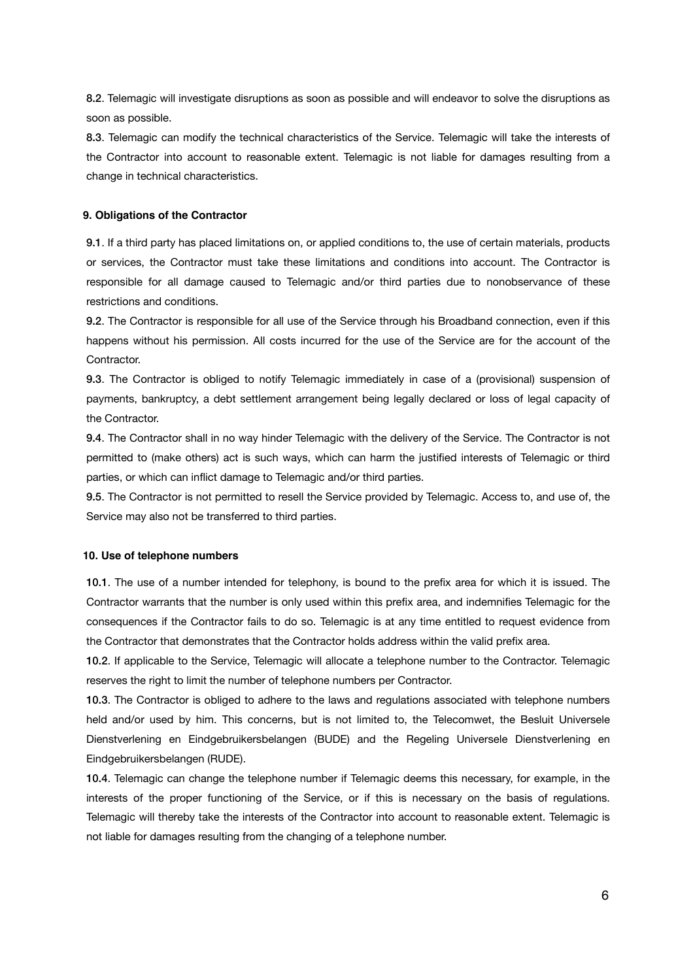8.2. Telemagic will investigate disruptions as soon as possible and will endeavor to solve the disruptions as soon as possible.

8.3. Telemagic can modify the technical characteristics of the Service. Telemagic will take the interests of the Contractor into account to reasonable extent. Telemagic is not liable for damages resulting from a change in technical characteristics.

#### **9. Obligations of the Contractor**

9.1. If a third party has placed limitations on, or applied conditions to, the use of certain materials, products or services, the Contractor must take these limitations and conditions into account. The Contractor is responsible for all damage caused to Telemagic and/or third parties due to nonobservance of these restrictions and conditions.

9.2. The Contractor is responsible for all use of the Service through his Broadband connection, even if this happens without his permission. All costs incurred for the use of the Service are for the account of the Contractor.

9.3. The Contractor is obliged to notify Telemagic immediately in case of a (provisional) suspension of payments, bankruptcy, a debt settlement arrangement being legally declared or loss of legal capacity of the Contractor.

9.4. The Contractor shall in no way hinder Telemagic with the delivery of the Service. The Contractor is not permitted to (make others) act is such ways, which can harm the justified interests of Telemagic or third parties, or which can inflict damage to Telemagic and/or third parties.

9.5. The Contractor is not permitted to resell the Service provided by Telemagic. Access to, and use of, the Service may also not be transferred to third parties.

## **10. Use of telephone numbers**

10.1. The use of a number intended for telephony, is bound to the prefix area for which it is issued. The Contractor warrants that the number is only used within this prefix area, and indemnifies Telemagic for the consequences if the Contractor fails to do so. Telemagic is at any time entitled to request evidence from the Contractor that demonstrates that the Contractor holds address within the valid prefix area.

10.2. If applicable to the Service, Telemagic will allocate a telephone number to the Contractor. Telemagic reserves the right to limit the number of telephone numbers per Contractor.

10.3. The Contractor is obliged to adhere to the laws and regulations associated with telephone numbers held and/or used by him. This concerns, but is not limited to, the Telecomwet, the Besluit Universele Dienstverlening en Eindgebruikersbelangen (BUDE) and the Regeling Universele Dienstverlening en Eindgebruikersbelangen (RUDE).

10.4. Telemagic can change the telephone number if Telemagic deems this necessary, for example, in the interests of the proper functioning of the Service, or if this is necessary on the basis of regulations. Telemagic will thereby take the interests of the Contractor into account to reasonable extent. Telemagic is not liable for damages resulting from the changing of a telephone number.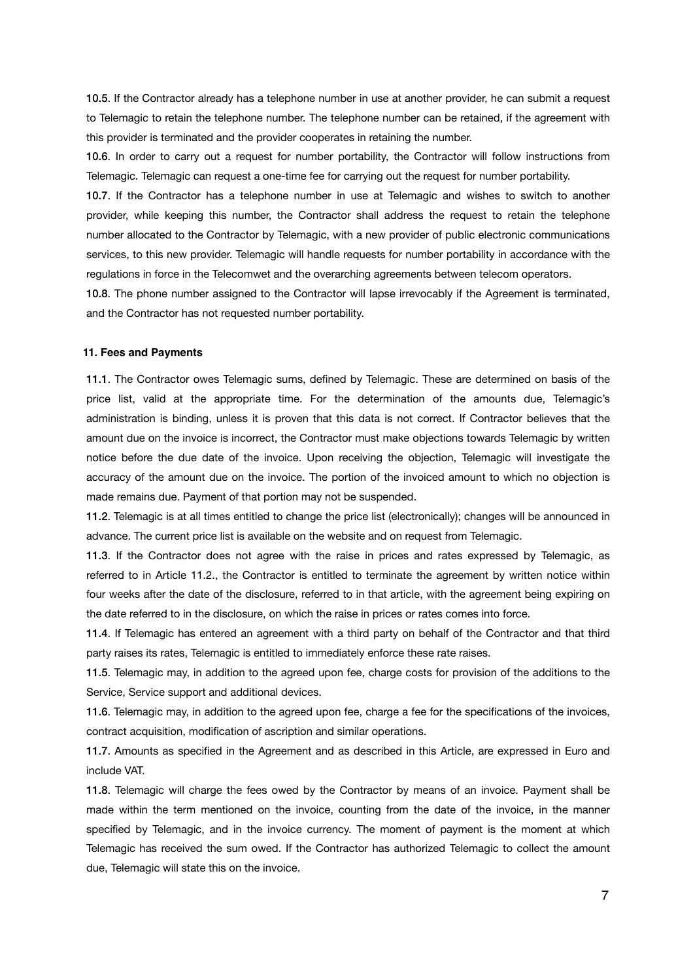10.5. If the Contractor already has a telephone number in use at another provider, he can submit a request to Telemagic to retain the telephone number. The telephone number can be retained, if the agreement with this provider is terminated and the provider cooperates in retaining the number.

10.6. In order to carry out a request for number portability, the Contractor will follow instructions from Telemagic. Telemagic can request a one-time fee for carrying out the request for number portability.

10.7. If the Contractor has a telephone number in use at Telemagic and wishes to switch to another provider, while keeping this number, the Contractor shall address the request to retain the telephone number allocated to the Contractor by Telemagic, with a new provider of public electronic communications services, to this new provider. Telemagic will handle requests for number portability in accordance with the regulations in force in the Telecomwet and the overarching agreements between telecom operators.

10.8. The phone number assigned to the Contractor will lapse irrevocably if the Agreement is terminated, and the Contractor has not requested number portability.

#### **11. Fees and Payments**

11.1. The Contractor owes Telemagic sums, defined by Telemagic. These are determined on basis of the price list, valid at the appropriate time. For the determination of the amounts due, Telemagic's administration is binding, unless it is proven that this data is not correct. If Contractor believes that the amount due on the invoice is incorrect, the Contractor must make objections towards Telemagic by written notice before the due date of the invoice. Upon receiving the objection, Telemagic will investigate the accuracy of the amount due on the invoice. The portion of the invoiced amount to which no objection is made remains due. Payment of that portion may not be suspended.

11.2. Telemagic is at all times entitled to change the price list (electronically); changes will be announced in advance. The current price list is available on the website and on request from Telemagic.

11.3. If the Contractor does not agree with the raise in prices and rates expressed by Telemagic, as referred to in Article 11.2., the Contractor is entitled to terminate the agreement by written notice within four weeks after the date of the disclosure, referred to in that article, with the agreement being expiring on the date referred to in the disclosure, on which the raise in prices or rates comes into force.

11.4. If Telemagic has entered an agreement with a third party on behalf of the Contractor and that third party raises its rates, Telemagic is entitled to immediately enforce these rate raises.

11.5. Telemagic may, in addition to the agreed upon fee, charge costs for provision of the additions to the Service, Service support and additional devices.

11.6. Telemagic may, in addition to the agreed upon fee, charge a fee for the specifications of the invoices, contract acquisition, modification of ascription and similar operations.

11.7. Amounts as specified in the Agreement and as described in this Article, are expressed in Euro and include VAT.

11.8. Telemagic will charge the fees owed by the Contractor by means of an invoice. Payment shall be made within the term mentioned on the invoice, counting from the date of the invoice, in the manner specified by Telemagic, and in the invoice currency. The moment of payment is the moment at which Telemagic has received the sum owed. If the Contractor has authorized Telemagic to collect the amount due, Telemagic will state this on the invoice.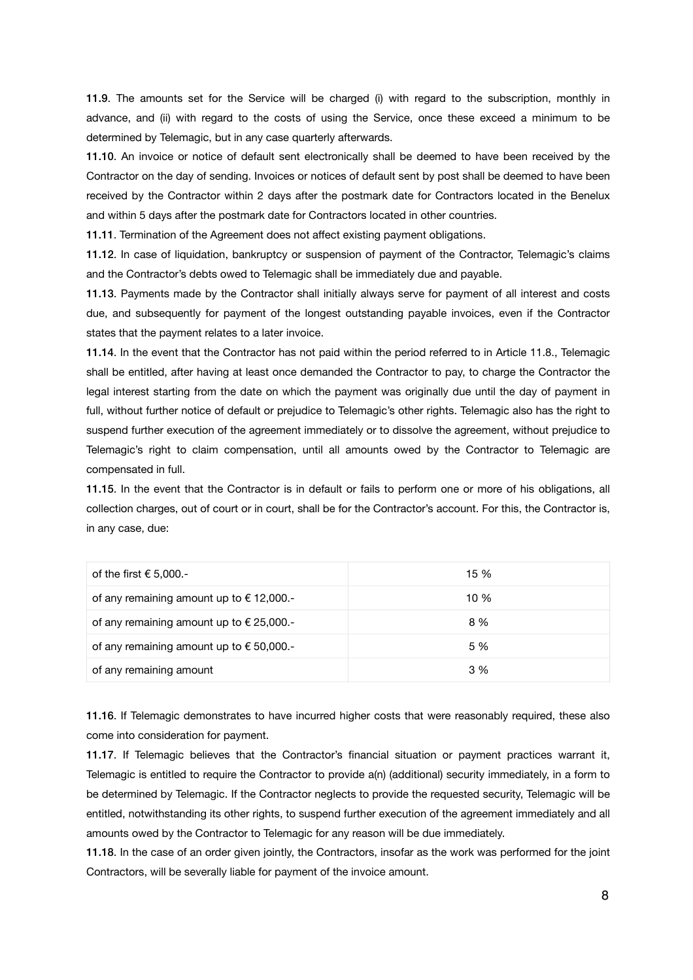11.9. The amounts set for the Service will be charged (i) with regard to the subscription, monthly in advance, and (ii) with regard to the costs of using the Service, once these exceed a minimum to be determined by Telemagic, but in any case quarterly afterwards.

11.10. An invoice or notice of default sent electronically shall be deemed to have been received by the Contractor on the day of sending. Invoices or notices of default sent by post shall be deemed to have been received by the Contractor within 2 days after the postmark date for Contractors located in the Benelux and within 5 days after the postmark date for Contractors located in other countries.

11.11. Termination of the Agreement does not affect existing payment obligations.

11.12. In case of liquidation, bankruptcy or suspension of payment of the Contractor, Telemagic's claims and the Contractor's debts owed to Telemagic shall be immediately due and payable.

11.13. Payments made by the Contractor shall initially always serve for payment of all interest and costs due, and subsequently for payment of the longest outstanding payable invoices, even if the Contractor states that the payment relates to a later invoice.

11.14. In the event that the Contractor has not paid within the period referred to in Article 11.8., Telemagic shall be entitled, after having at least once demanded the Contractor to pay, to charge the Contractor the legal interest starting from the date on which the payment was originally due until the day of payment in full, without further notice of default or prejudice to Telemagic's other rights. Telemagic also has the right to suspend further execution of the agreement immediately or to dissolve the agreement, without prejudice to Telemagic's right to claim compensation, until all amounts owed by the Contractor to Telemagic are compensated in full.

11.15. In the event that the Contractor is in default or fails to perform one or more of his obligations, all collection charges, out of court or in court, shall be for the Contractor's account. For this, the Contractor is, in any case, due:

| of the first $\epsilon$ 5,000.-                   | 15 % |
|---------------------------------------------------|------|
| of any remaining amount up to $\epsilon$ 12,000.- | 10 % |
| of any remaining amount up to $\epsilon$ 25,000.- | 8 %  |
| of any remaining amount up to $\epsilon$ 50,000.- | 5 %  |
| of any remaining amount                           | 3 %  |

11.16. If Telemagic demonstrates to have incurred higher costs that were reasonably required, these also come into consideration for payment.

11.17. If Telemagic believes that the Contractor's financial situation or payment practices warrant it, Telemagic is entitled to require the Contractor to provide a(n) (additional) security immediately, in a form to be determined by Telemagic. If the Contractor neglects to provide the requested security, Telemagic will be entitled, notwithstanding its other rights, to suspend further execution of the agreement immediately and all amounts owed by the Contractor to Telemagic for any reason will be due immediately.

11.18. In the case of an order given jointly, the Contractors, insofar as the work was performed for the joint Contractors, will be severally liable for payment of the invoice amount.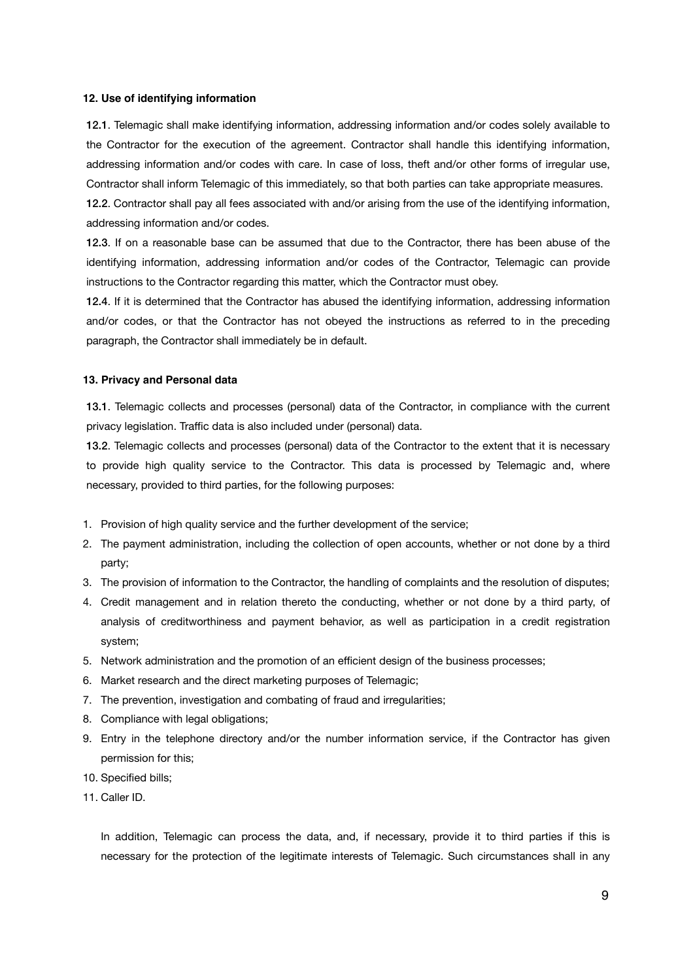## **12. Use of identifying information**

12.1. Telemagic shall make identifying information, addressing information and/or codes solely available to the Contractor for the execution of the agreement. Contractor shall handle this identifying information, addressing information and/or codes with care. In case of loss, theft and/or other forms of irregular use, Contractor shall inform Telemagic of this immediately, so that both parties can take appropriate measures.

12.2. Contractor shall pay all fees associated with and/or arising from the use of the identifying information, addressing information and/or codes.

12.3. If on a reasonable base can be assumed that due to the Contractor, there has been abuse of the identifying information, addressing information and/or codes of the Contractor, Telemagic can provide instructions to the Contractor regarding this matter, which the Contractor must obey.

12.4. If it is determined that the Contractor has abused the identifying information, addressing information and/or codes, or that the Contractor has not obeyed the instructions as referred to in the preceding paragraph, the Contractor shall immediately be in default.

#### **13. Privacy and Personal data**

13.1. Telemagic collects and processes (personal) data of the Contractor, in compliance with the current privacy legislation. Traffic data is also included under (personal) data.

13.2. Telemagic collects and processes (personal) data of the Contractor to the extent that it is necessary to provide high quality service to the Contractor. This data is processed by Telemagic and, where necessary, provided to third parties, for the following purposes:

- 1. Provision of high quality service and the further development of the service;
- 2. The payment administration, including the collection of open accounts, whether or not done by a third party;
- 3. The provision of information to the Contractor, the handling of complaints and the resolution of disputes;
- 4. Credit management and in relation thereto the conducting, whether or not done by a third party, of analysis of creditworthiness and payment behavior, as well as participation in a credit registration system;
- 5. Network administration and the promotion of an efficient design of the business processes;
- 6. Market research and the direct marketing purposes of Telemagic;
- 7. The prevention, investigation and combating of fraud and irregularities;
- 8. Compliance with legal obligations;
- 9. Entry in the telephone directory and/or the number information service, if the Contractor has given permission for this;
- 10. Specified bills;
- 11. Caller ID.

In addition, Telemagic can process the data, and, if necessary, provide it to third parties if this is necessary for the protection of the legitimate interests of Telemagic. Such circumstances shall in any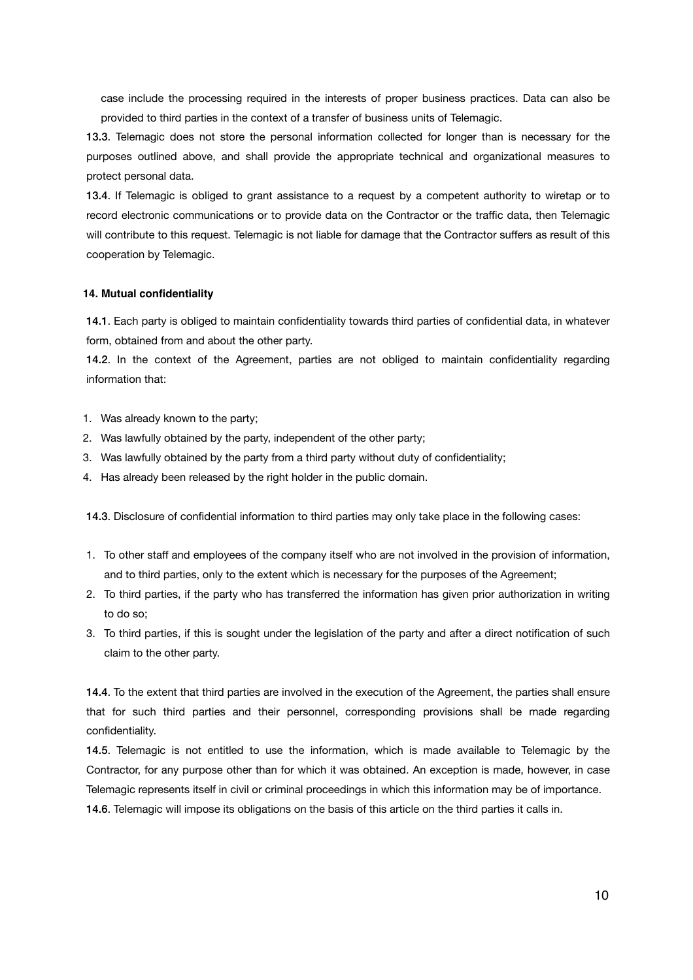case include the processing required in the interests of proper business practices. Data can also be provided to third parties in the context of a transfer of business units of Telemagic.

13.3. Telemagic does not store the personal information collected for longer than is necessary for the purposes outlined above, and shall provide the appropriate technical and organizational measures to protect personal data.

13.4. If Telemagic is obliged to grant assistance to a request by a competent authority to wiretap or to record electronic communications or to provide data on the Contractor or the traffic data, then Telemagic will contribute to this request. Telemagic is not liable for damage that the Contractor suffers as result of this cooperation by Telemagic.

#### **14. Mutual confidentiality**

14.1. Each party is obliged to maintain confidentiality towards third parties of confidential data, in whatever form, obtained from and about the other party.

14.2. In the context of the Agreement, parties are not obliged to maintain confidentiality regarding information that:

- 1. Was already known to the party;
- 2. Was lawfully obtained by the party, independent of the other party;
- 3. Was lawfully obtained by the party from a third party without duty of confidentiality;
- 4. Has already been released by the right holder in the public domain.

14.3. Disclosure of confidential information to third parties may only take place in the following cases:

- 1. To other staff and employees of the company itself who are not involved in the provision of information, and to third parties, only to the extent which is necessary for the purposes of the Agreement;
- 2. To third parties, if the party who has transferred the information has given prior authorization in writing to do so;
- 3. To third parties, if this is sought under the legislation of the party and after a direct notification of such claim to the other party.

14.4. To the extent that third parties are involved in the execution of the Agreement, the parties shall ensure that for such third parties and their personnel, corresponding provisions shall be made regarding confidentiality.

14.5. Telemagic is not entitled to use the information, which is made available to Telemagic by the Contractor, for any purpose other than for which it was obtained. An exception is made, however, in case Telemagic represents itself in civil or criminal proceedings in which this information may be of importance.

14.6. Telemagic will impose its obligations on the basis of this article on the third parties it calls in.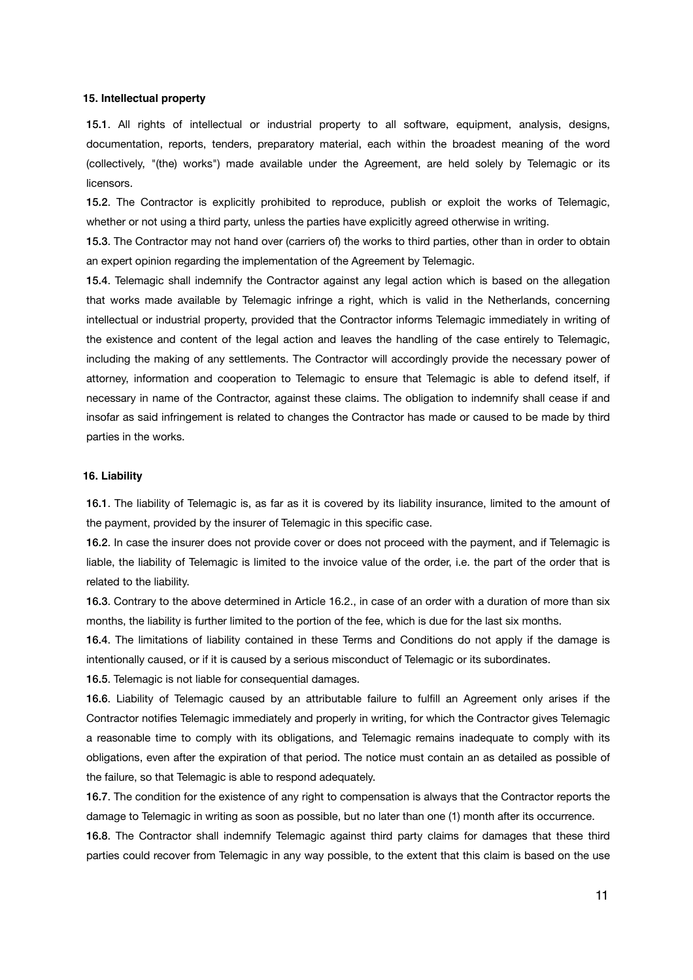## **15. Intellectual property**

15.1. All rights of intellectual or industrial property to all software, equipment, analysis, designs, documentation, reports, tenders, preparatory material, each within the broadest meaning of the word (collectively, "(the) works") made available under the Agreement, are held solely by Telemagic or its licensors.

15.2. The Contractor is explicitly prohibited to reproduce, publish or exploit the works of Telemagic, whether or not using a third party, unless the parties have explicitly agreed otherwise in writing.

15.3. The Contractor may not hand over (carriers of) the works to third parties, other than in order to obtain an expert opinion regarding the implementation of the Agreement by Telemagic.

15.4. Telemagic shall indemnify the Contractor against any legal action which is based on the allegation that works made available by Telemagic infringe a right, which is valid in the Netherlands, concerning intellectual or industrial property, provided that the Contractor informs Telemagic immediately in writing of the existence and content of the legal action and leaves the handling of the case entirely to Telemagic, including the making of any settlements. The Contractor will accordingly provide the necessary power of attorney, information and cooperation to Telemagic to ensure that Telemagic is able to defend itself, if necessary in name of the Contractor, against these claims. The obligation to indemnify shall cease if and insofar as said infringement is related to changes the Contractor has made or caused to be made by third parties in the works.

#### **16. Liability**

16.1. The liability of Telemagic is, as far as it is covered by its liability insurance, limited to the amount of the payment, provided by the insurer of Telemagic in this specific case.

16.2. In case the insurer does not provide cover or does not proceed with the payment, and if Telemagic is liable, the liability of Telemagic is limited to the invoice value of the order, i.e. the part of the order that is related to the liability.

16.3. Contrary to the above determined in Article 16.2., in case of an order with a duration of more than six months, the liability is further limited to the portion of the fee, which is due for the last six months.

16.4. The limitations of liability contained in these Terms and Conditions do not apply if the damage is intentionally caused, or if it is caused by a serious misconduct of Telemagic or its subordinates.

16.5. Telemagic is not liable for consequential damages.

16.6. Liability of Telemagic caused by an attributable failure to fulfill an Agreement only arises if the Contractor notifies Telemagic immediately and properly in writing, for which the Contractor gives Telemagic a reasonable time to comply with its obligations, and Telemagic remains inadequate to comply with its obligations, even after the expiration of that period. The notice must contain an as detailed as possible of the failure, so that Telemagic is able to respond adequately.

16.7. The condition for the existence of any right to compensation is always that the Contractor reports the damage to Telemagic in writing as soon as possible, but no later than one (1) month after its occurrence.

16.8. The Contractor shall indemnify Telemagic against third party claims for damages that these third parties could recover from Telemagic in any way possible, to the extent that this claim is based on the use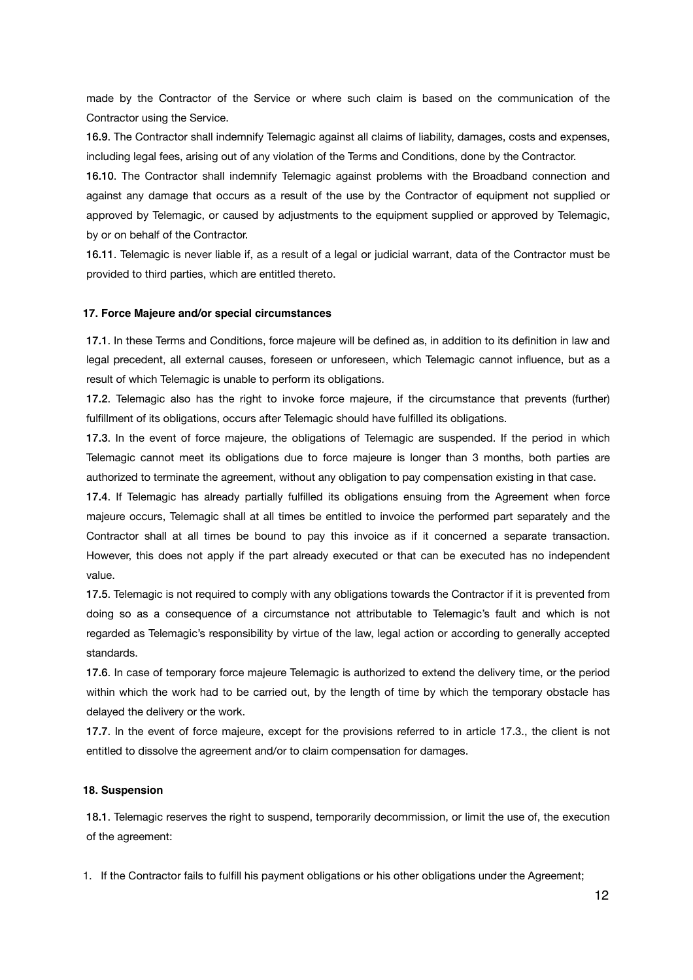made by the Contractor of the Service or where such claim is based on the communication of the Contractor using the Service.

16.9. The Contractor shall indemnify Telemagic against all claims of liability, damages, costs and expenses, including legal fees, arising out of any violation of the Terms and Conditions, done by the Contractor.

16.10. The Contractor shall indemnify Telemagic against problems with the Broadband connection and against any damage that occurs as a result of the use by the Contractor of equipment not supplied or approved by Telemagic, or caused by adjustments to the equipment supplied or approved by Telemagic, by or on behalf of the Contractor.

16.11. Telemagic is never liable if, as a result of a legal or judicial warrant, data of the Contractor must be provided to third parties, which are entitled thereto.

#### **17. Force Majeure and/or special circumstances**

17.1. In these Terms and Conditions, force majeure will be defined as, in addition to its definition in law and legal precedent, all external causes, foreseen or unforeseen, which Telemagic cannot influence, but as a result of which Telemagic is unable to perform its obligations.

17.2. Telemagic also has the right to invoke force majeure, if the circumstance that prevents (further) fulfillment of its obligations, occurs after Telemagic should have fulfilled its obligations.

17.3. In the event of force majeure, the obligations of Telemagic are suspended. If the period in which Telemagic cannot meet its obligations due to force majeure is longer than 3 months, both parties are authorized to terminate the agreement, without any obligation to pay compensation existing in that case.

17.4. If Telemagic has already partially fulfilled its obligations ensuing from the Agreement when force majeure occurs, Telemagic shall at all times be entitled to invoice the performed part separately and the Contractor shall at all times be bound to pay this invoice as if it concerned a separate transaction. However, this does not apply if the part already executed or that can be executed has no independent value.

17.5. Telemagic is not required to comply with any obligations towards the Contractor if it is prevented from doing so as a consequence of a circumstance not attributable to Telemagic's fault and which is not regarded as Telemagic's responsibility by virtue of the law, legal action or according to generally accepted standards.

17.6. In case of temporary force majeure Telemagic is authorized to extend the delivery time, or the period within which the work had to be carried out, by the length of time by which the temporary obstacle has delayed the delivery or the work.

17.7. In the event of force majeure, except for the provisions referred to in article 17.3., the client is not entitled to dissolve the agreement and/or to claim compensation for damages.

#### **18. Suspension**

18.1. Telemagic reserves the right to suspend, temporarily decommission, or limit the use of, the execution of the agreement:

1. If the Contractor fails to fulfill his payment obligations or his other obligations under the Agreement;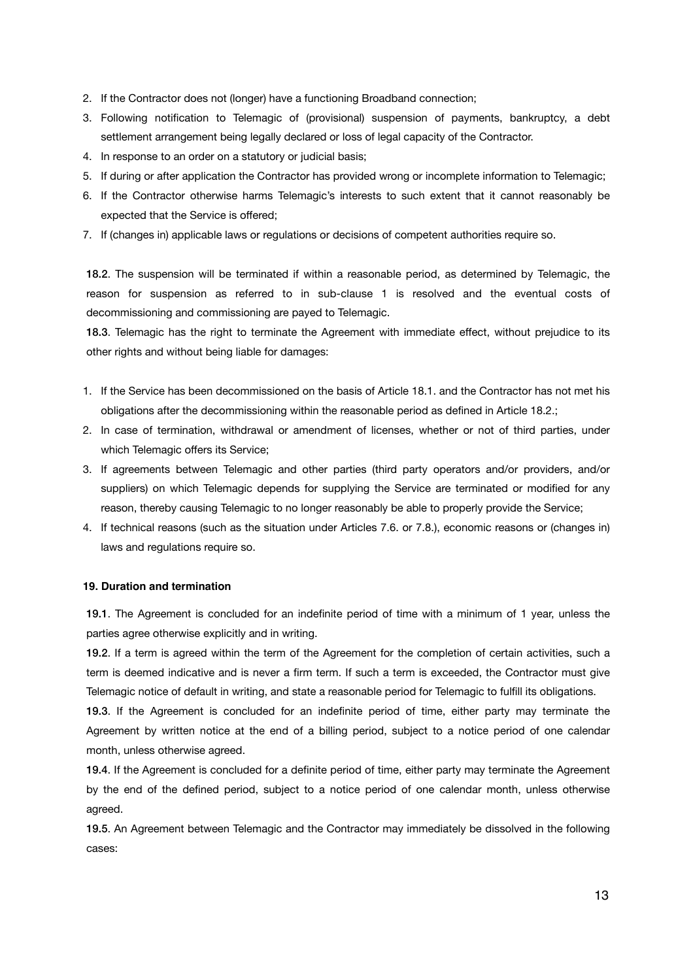- 2. If the Contractor does not (longer) have a functioning Broadband connection;
- 3. Following notification to Telemagic of (provisional) suspension of payments, bankruptcy, a debt settlement arrangement being legally declared or loss of legal capacity of the Contractor.
- 4. In response to an order on a statutory or judicial basis;
- 5. If during or after application the Contractor has provided wrong or incomplete information to Telemagic;
- 6. If the Contractor otherwise harms Telemagic's interests to such extent that it cannot reasonably be expected that the Service is offered;
- 7. If (changes in) applicable laws or regulations or decisions of competent authorities require so.

18.2. The suspension will be terminated if within a reasonable period, as determined by Telemagic, the reason for suspension as referred to in sub-clause 1 is resolved and the eventual costs of decommissioning and commissioning are payed to Telemagic.

18.3. Telemagic has the right to terminate the Agreement with immediate effect, without prejudice to its other rights and without being liable for damages:

- 1. If the Service has been decommissioned on the basis of Article 18.1. and the Contractor has not met his obligations after the decommissioning within the reasonable period as defined in Article 18.2.;
- 2. In case of termination, withdrawal or amendment of licenses, whether or not of third parties, under which Telemagic offers its Service;
- 3. If agreements between Telemagic and other parties (third party operators and/or providers, and/or suppliers) on which Telemagic depends for supplying the Service are terminated or modified for any reason, thereby causing Telemagic to no longer reasonably be able to properly provide the Service;
- 4. If technical reasons (such as the situation under Articles 7.6. or 7.8.), economic reasons or (changes in) laws and regulations require so.

# **19. Duration and termination**

19.1. The Agreement is concluded for an indefinite period of time with a minimum of 1 year, unless the parties agree otherwise explicitly and in writing.

19.2. If a term is agreed within the term of the Agreement for the completion of certain activities, such a term is deemed indicative and is never a firm term. If such a term is exceeded, the Contractor must give Telemagic notice of default in writing, and state a reasonable period for Telemagic to fulfill its obligations.

19.3. If the Agreement is concluded for an indefinite period of time, either party may terminate the Agreement by written notice at the end of a billing period, subject to a notice period of one calendar month, unless otherwise agreed.

19.4. If the Agreement is concluded for a definite period of time, either party may terminate the Agreement by the end of the defined period, subject to a notice period of one calendar month, unless otherwise agreed.

19.5. An Agreement between Telemagic and the Contractor may immediately be dissolved in the following cases: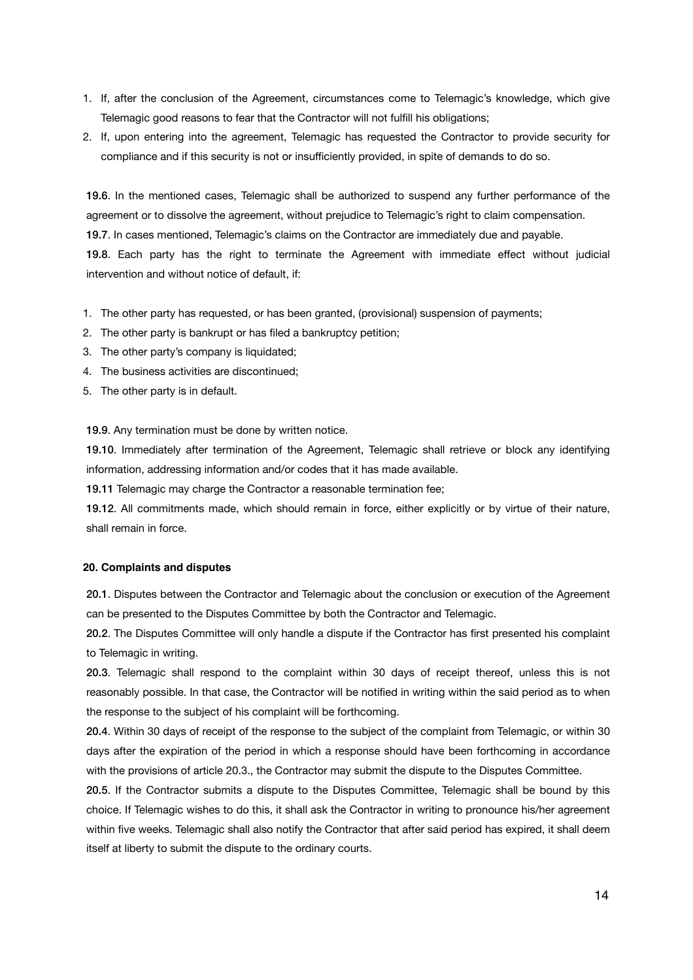- 1. If, after the conclusion of the Agreement, circumstances come to Telemagic's knowledge, which give Telemagic good reasons to fear that the Contractor will not fulfill his obligations;
- 2. If, upon entering into the agreement, Telemagic has requested the Contractor to provide security for compliance and if this security is not or insufficiently provided, in spite of demands to do so.

19.6. In the mentioned cases, Telemagic shall be authorized to suspend any further performance of the agreement or to dissolve the agreement, without prejudice to Telemagic's right to claim compensation.

19.7. In cases mentioned, Telemagic's claims on the Contractor are immediately due and payable.

19.8. Each party has the right to terminate the Agreement with immediate effect without judicial intervention and without notice of default, if:

- 1. The other party has requested, or has been granted, (provisional) suspension of payments;
- 2. The other party is bankrupt or has filed a bankruptcy petition;
- 3. The other party's company is liquidated;
- 4. The business activities are discontinued;
- 5. The other party is in default.

19.9. Any termination must be done by written notice.

19.10. Immediately after termination of the Agreement, Telemagic shall retrieve or block any identifying information, addressing information and/or codes that it has made available.

19.11 Telemagic may charge the Contractor a reasonable termination fee;

19.12. All commitments made, which should remain in force, either explicitly or by virtue of their nature, shall remain in force.

#### **20. Complaints and disputes**

20.1. Disputes between the Contractor and Telemagic about the conclusion or execution of the Agreement can be presented to the Disputes Committee by both the Contractor and Telemagic.

20.2. The Disputes Committee will only handle a dispute if the Contractor has first presented his complaint to Telemagic in writing.

20.3. Telemagic shall respond to the complaint within 30 days of receipt thereof, unless this is not reasonably possible. In that case, the Contractor will be notified in writing within the said period as to when the response to the subject of his complaint will be forthcoming.

20.4. Within 30 days of receipt of the response to the subject of the complaint from Telemagic, or within 30 days after the expiration of the period in which a response should have been forthcoming in accordance with the provisions of article 20.3., the Contractor may submit the dispute to the Disputes Committee.

20.5. If the Contractor submits a dispute to the Disputes Committee, Telemagic shall be bound by this choice. If Telemagic wishes to do this, it shall ask the Contractor in writing to pronounce his/her agreement within five weeks. Telemagic shall also notify the Contractor that after said period has expired, it shall deem itself at liberty to submit the dispute to the ordinary courts.